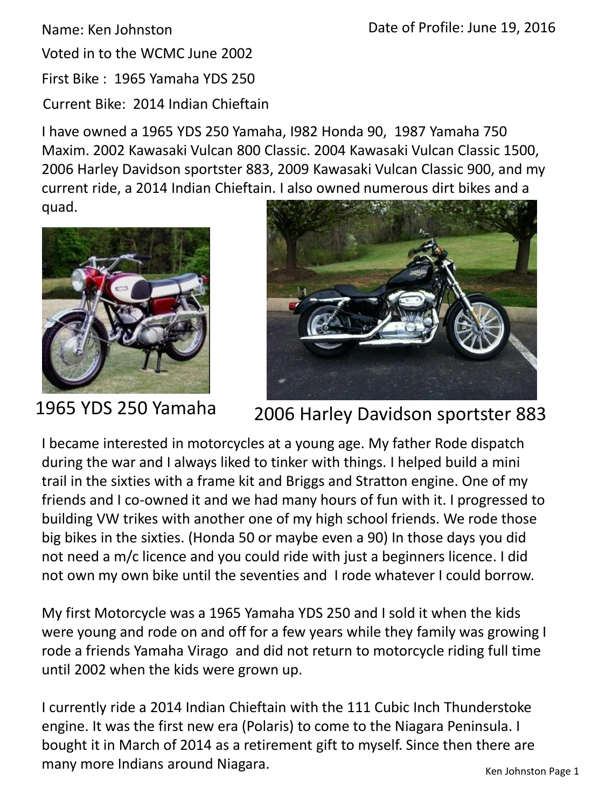Voted in to the WCMC June 2002

First Bike : 1965 Yamaha YDS 250

Current Bike: 2014 Indian Chieftain

I have owned a 1965 YDS 250 Yamaha, I982 Honda 90, 1987 Yamaha 750 Maxim. 2002 Kawasaki Vulcan 800 Classic. 2004 Kawasaki Vulcan Classic 1500, 2006 Harley Davidson sportster 883, 2009 Kawasaki Vulcan Classic 900, and my current ride, a 2014 Indian Chieftain. I also owned numerous dirt bikes and a

quad.





## 1965 YDS 250 Yamaha 2006 Harley Davidson sportster 883

I became interested in motorcycles at a young age. My father Rode dispatch during the war and I always liked to tinker with things. I helped build a mini trail in the sixties with a frame kit and Briggs and Stratton engine. One of my friends and I co-owned it and we had many hours of fun with it. I progressed to building VW trikes with another one of my high school friends. We rode those big bikes in the sixties. (Honda 50 or maybe even a 90) In those days you did not need a m/c licence and you could ride with just a beginners licence. I did not own my own bike until the seventies and I rode whatever I could borrow.

My first Motorcycle was a 1965 Yamaha YDS 250 and I sold it when the kids were young and rode on and off for a few years while they family was growing I rode a friends Yamaha Virago and did not return to motorcycle riding full time until 2002 when the kids were grown up.

I currently ride a 2014 Indian Chieftain with the 111 Cubic Inch Thunderstoke engine. It was the first new era (Polaris) to come to the Niagara Peninsula. I bought it in March of 2014 as a retirement gift to myself. Since then there are many more Indians around Niagara.<br>
Ken Johnston Page 1